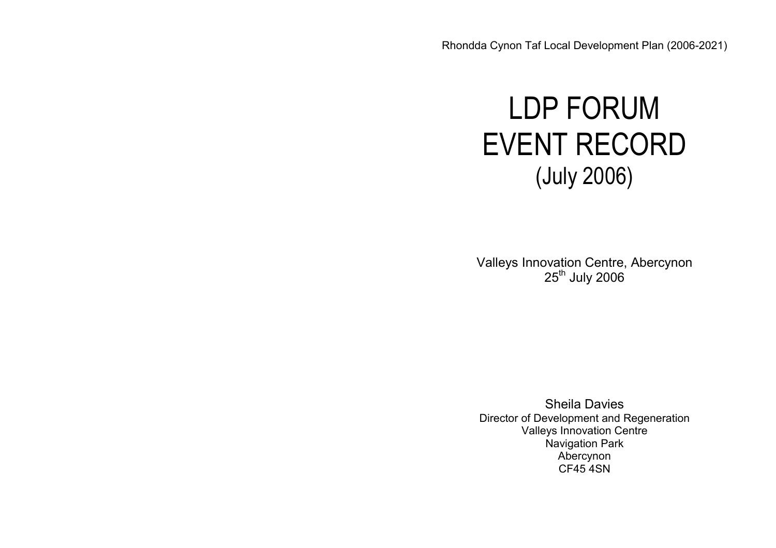# LDP FORUM EVENT RECORD (July 2006)

Valleys Innovation Centre, Abercynon 25<sup>th</sup> July 2006

Sheila Davies Director of Development and Regeneration Valleys Innovation Centre Navigation Park Abercynon CF45 4SN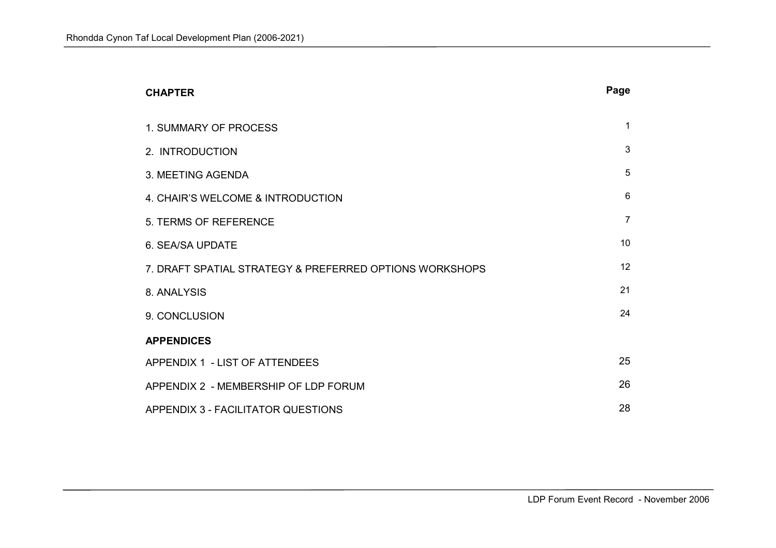| <b>CHAPTER</b>                                          | Page           |
|---------------------------------------------------------|----------------|
| <b>1. SUMMARY OF PROCESS</b>                            | $\mathbf 1$    |
| 2. INTRODUCTION                                         | 3              |
| 3. MEETING AGENDA                                       | 5              |
| 4. CHAIR'S WELCOME & INTRODUCTION                       | 6              |
| 5. TERMS OF REFERENCE                                   | $\overline{7}$ |
| 6. SEA/SA UPDATE                                        | 10             |
| 7. DRAFT SPATIAL STRATEGY & PREFERRED OPTIONS WORKSHOPS | 12             |
| 8. ANALYSIS                                             | 21             |
| 9. CONCLUSION                                           | 24             |
| <b>APPENDICES</b>                                       |                |
| APPENDIX 1 - LIST OF ATTENDEES                          | 25             |
| APPENDIX 2 - MEMBERSHIP OF LDP FORUM                    | 26             |
| APPENDIX 3 - FACILITATOR QUESTIONS                      | 28             |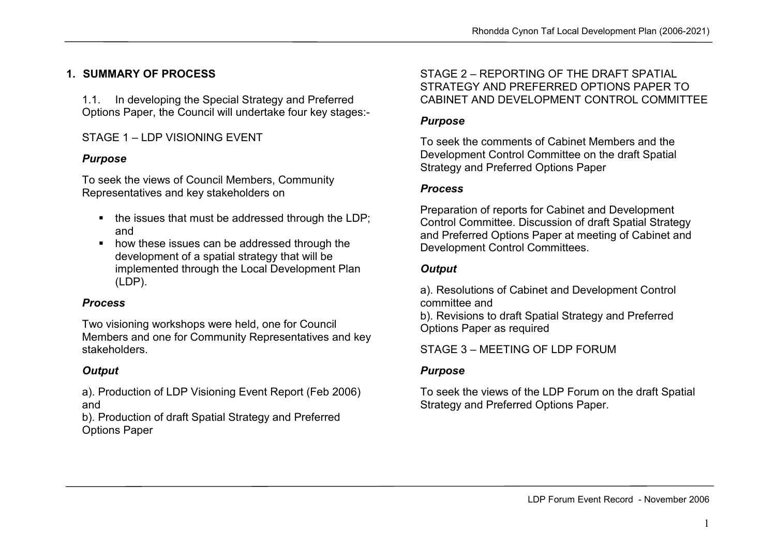# 1. SUMMARY OF PROCESS

1.1. In developing the Special Strategy and Preferred Options Paper, the Council will undertake four key stages:-

STAGE 1-LDP VISIONING EVENT

## Purpose

To seek the views of Council Members, Community Representatives and key stakeholders on

- $\blacksquare$  the issues that must be addressed through the LDP; and
- **how these issues can be addressed through the** development of a spatial strategy that will be implemented through the Local Development Plan (LDP).

#### Process

Two visioning workshops were held, one for Council Members and one for Community Representatives and key stakeholders.

## **Output**

a). Production of LDP Visioning Event Report (Feb 2006) and

 b). Production of draft Spatial Strategy and Preferred Options Paper

#### STAGE 2 – REPORTING OF THE DRAFT SPATIAL STRATEGY AND PREFERRED OPTIONS PAPER TO CABINET AND DEVELOPMENT CONTROL COMMITTEE

#### Purpose

To seek the comments of Cabinet Members and the Development Control Committee on the draft Spatial Strategy and Preferred Options Paper

#### Process

Preparation of reports for Cabinet and Development Control Committee. Discussion of draft Spatial Strategy and Preferred Options Paper at meeting of Cabinet and Development Control Committees.

# **Output**

a). Resolutions of Cabinet and Development Control committee and

 b). Revisions to draft Spatial Strategy and Preferred Options Paper as required

STAGE 3 – MEETING OF LDP FORUM

# Purpose

To seek the views of the LDP Forum on the draft Spatial Strategy and Preferred Options Paper.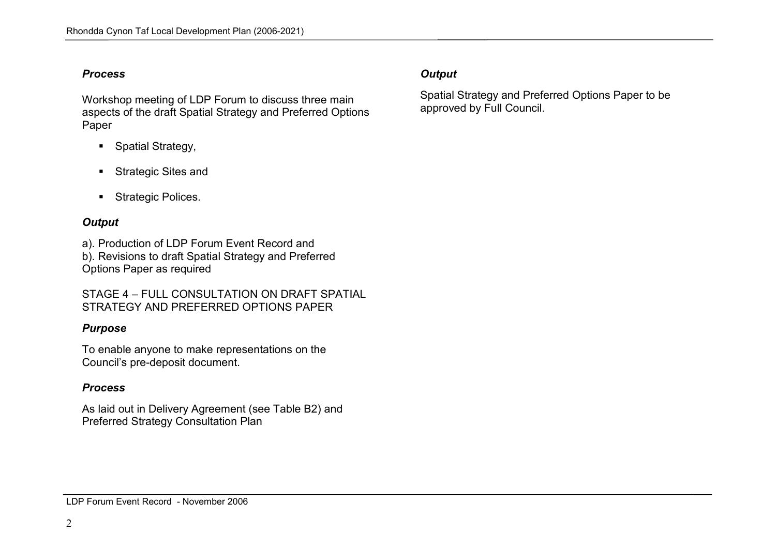#### Process

Workshop meeting of LDP Forum to discuss three main aspects of the draft Spatial Strategy and Preferred Options Paper

- **Spatial Strategy,**
- **Strategic Sites and**
- **Strategic Polices.**

# **Output**

a). Production of LDP Forum Event Record and b). Revisions to draft Spatial Strategy and Preferred

Options Paper as required

STAGE 4 – FULL CONSULTATION ON DRAFT SPATIAL STRATEGY AND PREFERRED OPTIONS PAPER

## Purpose

To enable anyone to make representations on the Council's pre-deposit document.

# Process

As laid out in Delivery Agreement (see Table B2) and Preferred Strategy Consultation Plan

# **Output**

Spatial Strategy and Preferred Options Paper to be approved by Full Council.

#### LDP Forum Event Record - November 2006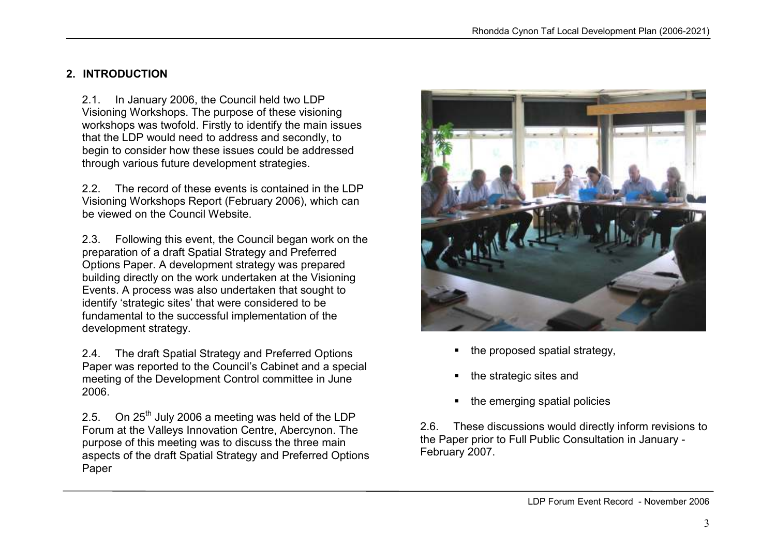# 2. INTRODUCTION

2.1. In January 2006, the Council held two LDP Visioning Workshops. The purpose of these visioning workshops was twofold. Firstly to identify the main issues that the LDP would need to address and secondly, to begin to consider how these issues could be addressed through various future development strategies.

2.2. The record of these events is contained in the LDP Visioning Workshops Report (February 2006), which can be viewed on the Council Website.

2.3. Following this event, the Council began work on the preparation of a draft Spatial Strategy and Preferred Options Paper. A development strategy was prepared building directly on the work undertaken at the Visioning Events. A process was also undertaken that sought to identify 'strategic sites' that were considered to be fundamental to the successful implementation of thedevelopment strategy.

2.4. The draft Spatial Strategy and Preferred Options Paper was reported to the Council's Cabinet and a special meeting of the Development Control committee in June 2006.

2.5. On  $25<sup>th</sup>$  July 2006 a meeting was held of the LDP Forum at the Valleys Innovation Centre, Abercynon. The purpose of this meeting was to discuss the three main aspects of the draft Spatial Strategy and Preferred Options Paper



- the proposed spatial strategy,
- the strategic sites and
- the emerging spatial policies

2.6. These discussions would directly inform revisions to the Paper prior to Full Public Consultation in January -February 2007.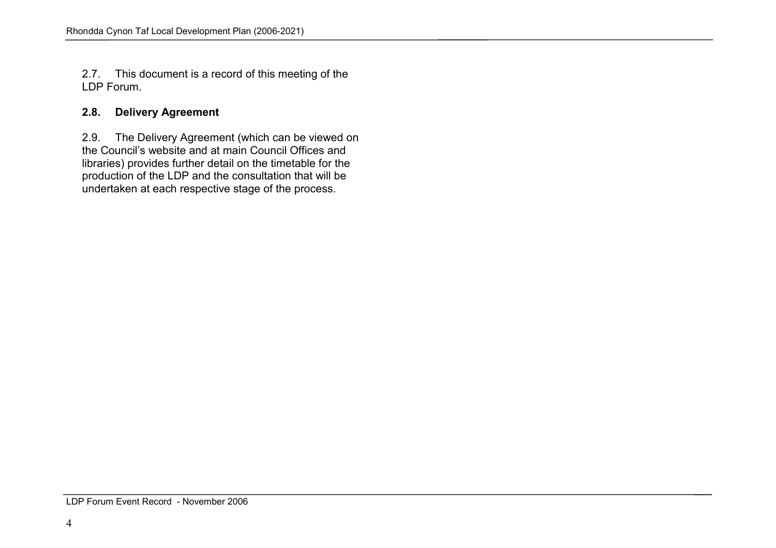2.7. This document is a record of this meeting of the LDP Forum.

# 2.8. Delivery Agreement

2.9. The Delivery Agreement (which can be viewed onthe Council's website and at main Council Offices and libraries) provides further detail on the timetable for the production of the LDP and the consultation that will be undertaken at each respective stage of the process.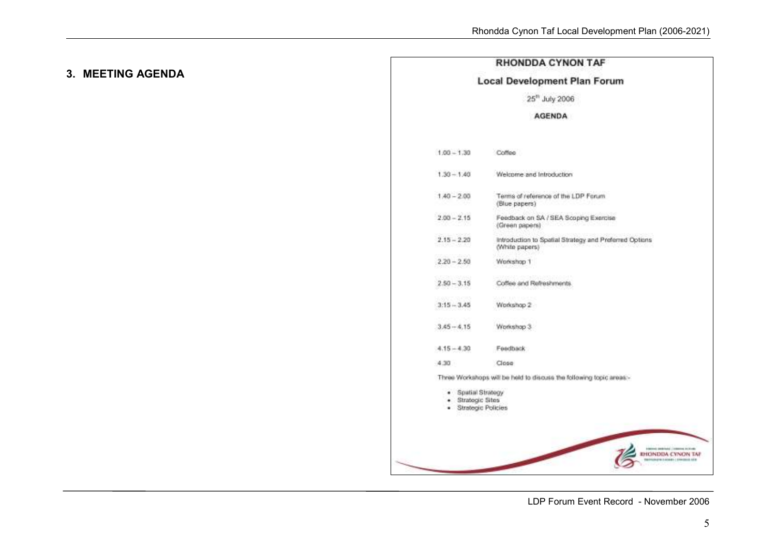# 3. MEETING AGENDA

#### **RHONDDA CYNON TAF**

#### **Local Development Plan Forum**

#### 25<sup>th</sup> July 2006

#### AGENDA

|                                       | Coffee                                                                   |
|---------------------------------------|--------------------------------------------------------------------------|
| $1.30 - 1.40$                         | Welcome and Introduction                                                 |
| $1.40 - 2.00$                         | Terms of reference of the LDP Forum<br>(Blue papers)                     |
| $2.00 - 2.15$                         | Feedback on SA / SEA Scoping Exercise<br>(Green papers)                  |
| $2.15 - 2.20$                         | Introduction to Spatial Strategy and Preferred Options<br>(White papers) |
| $2.20 - 2.50$                         | Workshop 1                                                               |
| $2.50 - 3.15$                         | Coffee and Refreshments.                                                 |
| $3:15 - 3.45$                         | Workshop 2                                                               |
| $3.45 - 4.15$                         | Workshop 3                                                               |
| $4.15 - 4.30$                         | Feedback                                                                 |
| 4.30                                  | Close                                                                    |
|                                       | Three Workshops will be held to discuss the following topic areas-       |
| Spatial Strategy<br>· Strategic Sites | Strategic Policies                                                       |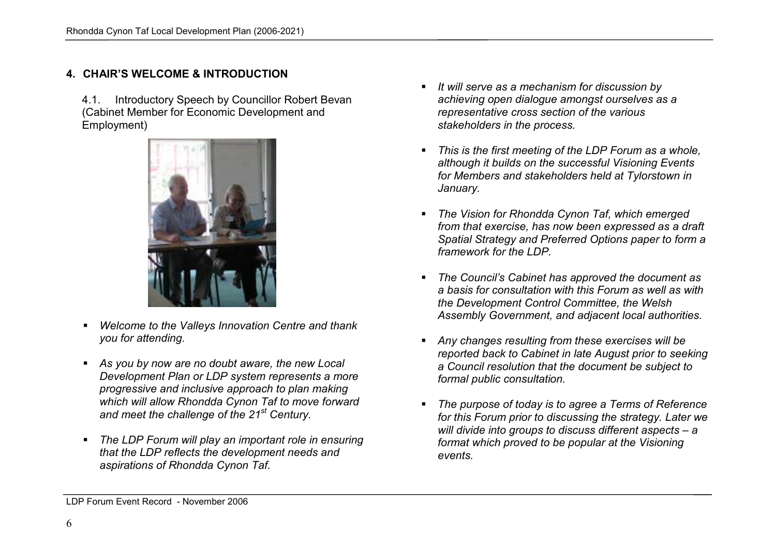# 4. CHAIR'S WELCOME & INTRODUCTION

4.1. Introductory Speech by Councillor Robert Bevan(Cabinet Member for Economic Development and Employment)



- Welcome to the Valleys Innovation Centre and thank you for attending.
- As you by now are no doubt aware, the new Local Development Plan or LDP system represents a more progressive and inclusive approach to plan making which will allow Rhondda Cynon Taf to move forward and meet the challenge of the 21<sup>st</sup> Century.
- The LDP Forum will play an important role in ensuring that the LDP reflects the development needs and aspirations of Rhondda Cynon Taf.
- $I$  It will serve as a mechanism for discussion by achieving open dialogue amongst ourselves as a representative cross section of the various stakeholders in the process.
- This is the first meeting of the LDP Forum as a whole, although it builds on the successful Visioning Events for Members and stakeholders held at Tylorstown in January.
- The Vision for Rhondda Cynon Taf, which emerged from that exercise, has now been expressed as a draft Spatial Strategy and Preferred Options paper to form a framework for the LDP.
- The Council's Cabinet has approved the document as a basis for consultation with this Forum as well as with the Development Control Committee, the Welsh Assembly Government, and adjacent local authorities.
- Any changes resulting from these exercises will be reported back to Cabinet in late August prior to seeking a Council resolution that the document be subject to formal public consultation.
- The purpose of today is to agree a Terms of Reference for this Forum prior to discussing the strategy. Later we will divide into groups to discuss different aspects – a format which proved to be popular at the Visioning events.

LDP Forum Event Record - November 2006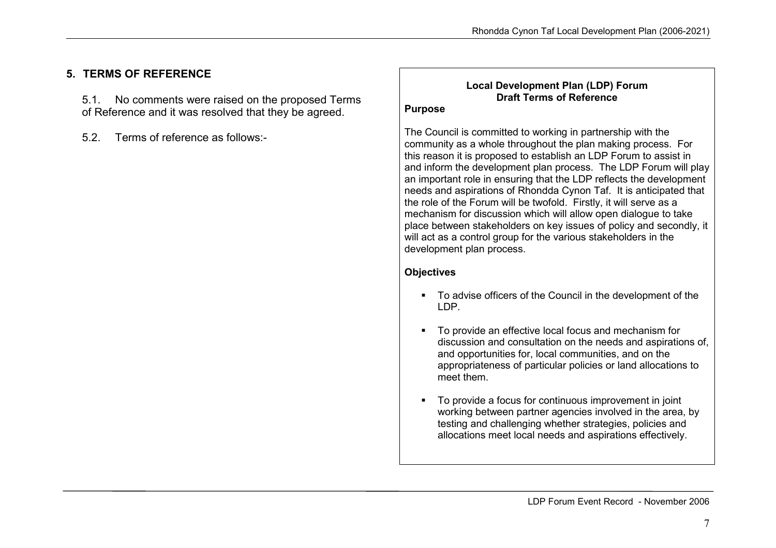# 5. TERMS OF REFERENCE

5.1. No comments were raised on the proposed Terms of Reference and it was resolved that they be agreed.

5.2. Terms of reference as follows:-

#### Local Development Plan (LDP) Forum Draft Terms of Reference

#### Purpose

The Council is committed to working in partnership with the community as a whole throughout the plan making process. For this reason it is proposed to establish an LDP Forum to assist in and inform the development plan process. The LDP Forum will play an important role in ensuring that the LDP reflects the development needs and aspirations of Rhondda Cynon Taf. It is anticipated that the role of the Forum will be twofold. Firstly, it will serve as a mechanism for discussion which will allow open dialogue to take place between stakeholders on key issues of policy and secondly, it will act as a control group for the various stakeholders in the development plan process.

#### **Objectives**

- To advise officers of the Council in the development of the LDP.
- To provide an effective local focus and mechanism for discussion and consultation on the needs and aspirations of, and opportunities for, local communities, and on the appropriateness of particular policies or land allocations to meet them.
- To provide a focus for continuous improvement in joint working between partner agencies involved in the area, by testing and challenging whether strategies, policies and allocations meet local needs and aspirations effectively.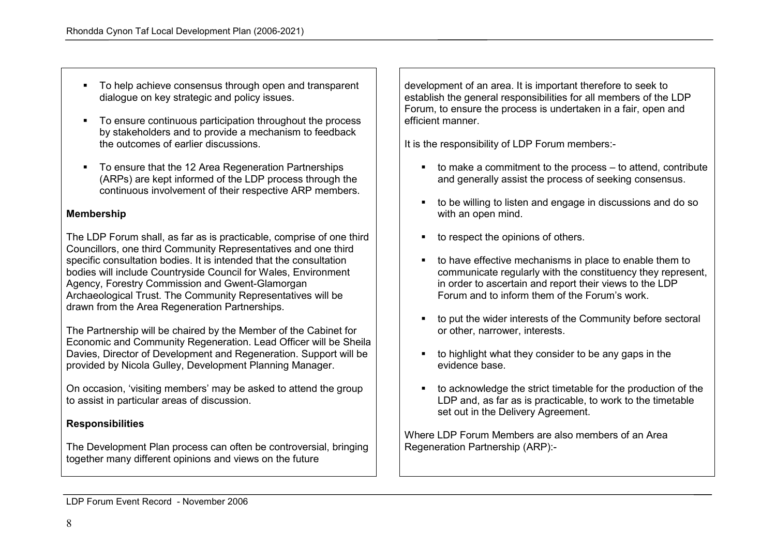- To help achieve consensus through open and transparent dialogue on key strategic and policy issues.
- To ensure continuous participation throughout the process by stakeholders and to provide a mechanism to feedback the outcomes of earlier discussions.
- To ensure that the 12 Area Regeneration Partnerships (ARPs) are kept informed of the LDP process through the continuous involvement of their respective ARP members.

#### Membership

The LDP Forum shall, as far as is practicable, comprise of one third Councillors, one third Community Representatives and one third specific consultation bodies. It is intended that the consultation bodies will include Countryside Council for Wales, Environment Agency, Forestry Commission and Gwent-Glamorgan Archaeological Trust. The Community Representatives will be drawn from the Area Regeneration Partnerships.

The Partnership will be chaired by the Member of the Cabinet for Economic and Community Regeneration. Lead Officer will be Sheila Davies, Director of Development and Regeneration. Support will be provided by Nicola Gulley, Development Planning Manager.

On occasion, 'visiting members' may be asked to attend the group to assist in particular areas of discussion.

#### Responsibilities

The Development Plan process can often be controversial, bringing together many different opinions and views on the future

development of an area. It is important therefore to seek to establish the general responsibilities for all members of the LDP Forum, to ensure the process is undertaken in a fair, open and efficient manner.

It is the responsibility of LDP Forum members:-

- $\bullet$  to make a commitment to the process  $-$  to attend, contribute and generally assist the process of seeking consensus.
- to be willing to listen and engage in discussions and do so with an open mind.
- to respect the opinions of others.
- to have effective mechanisms in place to enable them to communicate regularly with the constituency they represent, in order to ascertain and report their views to the LDP Forum and to inform them of the Forum's work.
- to put the wider interests of the Community before sectoral or other, narrower, interests.
- $\bullet$  to highlight what they consider to be any gaps in the evidence base.
- to acknowledge the strict timetable for the production of the LDP and, as far as is practicable, to work to the timetable set out in the Delivery Agreement.

Where LDP Forum Members are also members of an AreaRegeneration Partnership (ARP):-

LDP Forum Event Record - November 2006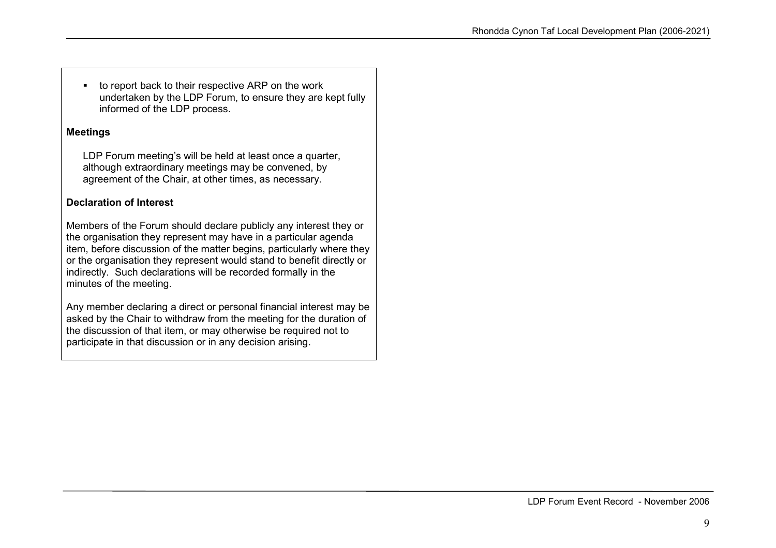■ to report back to their respective ARP on the work undertaken by the LDP Forum, to ensure they are kept fully informed of the LDP process.

#### Meetings

LDP Forum meeting's will be held at least once a quarter, although extraordinary meetings may be convened, byagreement of the Chair, at other times, as necessary.

#### Declaration of Interest

Members of the Forum should declare publicly any interest they or the organisation they represent may have in a particular agenda item, before discussion of the matter begins, particularly where they or the organisation they represent would stand to benefit directly or indirectly. Such declarations will be recorded formally in the minutes of the meeting.

Any member declaring a direct or personal financial interest may be asked by the Chair to withdraw from the meeting for the duration of the discussion of that item, or may otherwise be required not to participate in that discussion or in any decision arising.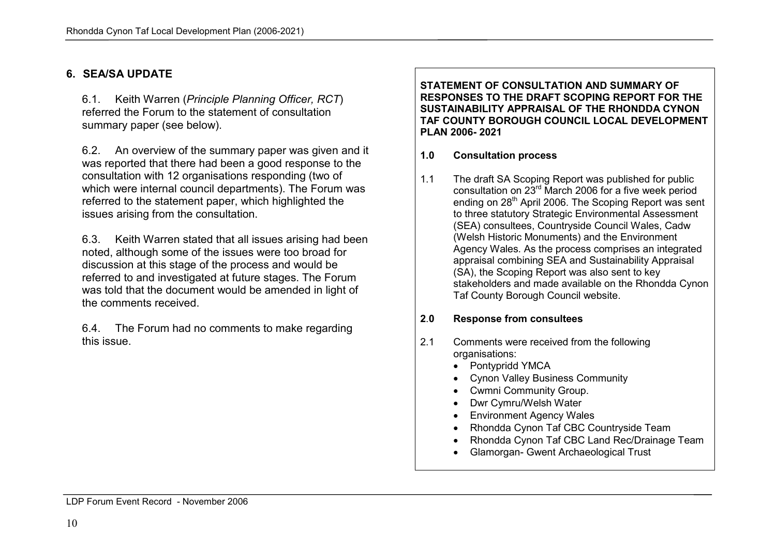#### 6. SEA/SA UPDATE

6.1. Keith Warren (Principle Planning Officer, RCT) referred the Forum to the statement of consultationsummary paper (see below).

6.2. An overview of the summary paper was given and it was reported that there had been a good response to the consultation with 12 organisations responding (two of which were internal council departments). The Forum was referred to the statement paper, which highlighted the issues arising from the consultation.

6.3. Keith Warren stated that all issues arising had been noted, although some of the issues were too broad for discussion at this stage of the process and would be referred to and investigated at future stages. The Forum was told that the document would be amended in light of the comments received.

6.4. The Forum had no comments to make regarding this issue.

#### STATEMENT OF CONSULTATION AND SUMMARY OF RESPONSES TO THE DRAFT SCOPING REPORT FOR THE SUSTAINABILITY APPRAISAL OF THE RHONDDA CYNON TAF COUNTY BOROUGH COUNCIL LOCAL DEVELOPMENT PLAN 2006- 2021

#### 1.0 Consultation process

1.1 The draft SA Scoping Report was published for public consultation on 23<sup>rd</sup> March 2006 for a five week period ending on 28<sup>th</sup> April 2006. The Scoping Report was sent to three statutory Strategic Environmental Assessment (SEA) consultees, Countryside Council Wales, Cadw (Welsh Historic Monuments) and the Environment Agency Wales. As the process comprises an integrated appraisal combining SEA and Sustainability Appraisal (SA), the Scoping Report was also sent to key stakeholders and made available on the Rhondda Cynon Taf County Borough Council website.

#### 2.0Response from consultees

- 2.1 Comments were received from the following organisations:
	- Pontypridd YMCA
	- Cynon Valley Business Community
	- Cwmni Community Group.
	- Dwr Cymru/Welsh Water
	- Environment Agency Wales
	- Rhondda Cynon Taf CBC Countryside Team
	- Rhondda Cynon Taf CBC Land Rec/Drainage Team
	- Glamorgan- Gwent Archaeological Trust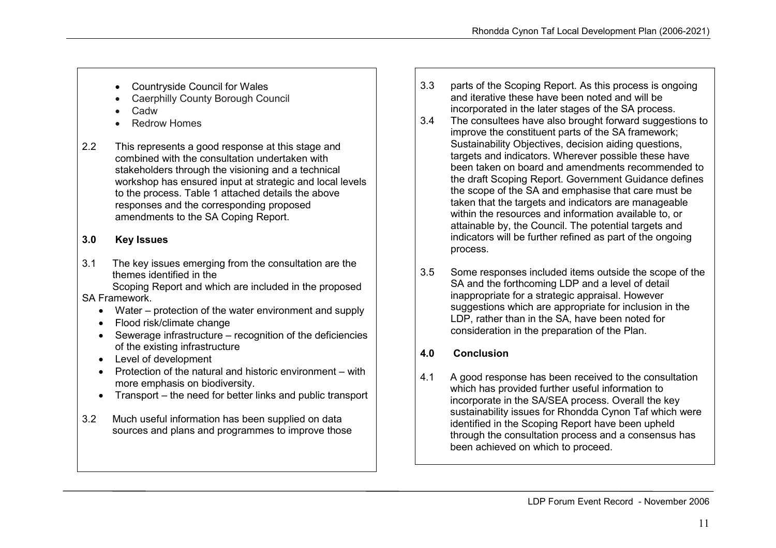- Countryside Council for Wales
- Caerphilly County Borough Council
- Cadw
- Redrow Homes
- 2.2 This represents a good response at this stage and combined with the consultation undertaken with stakeholders through the visioning and a technical workshop has ensured input at strategic and local levels to the process. Table 1 attached details the above responses and the corresponding proposed amendments to the SA Coping Report.

# 3.0 Key Issues

3.1 The key issues emerging from the consultation are the themes identified in the

 Scoping Report and which are included in the proposed SA Framework.

- Water protection of the water environment and supply
- Flood risk/climate change
- Sewerage infrastructure recognition of the deficiencies of the existing infrastructure
- Level of development
- Protection of the natural and historic environment with more emphasis on biodiversity.
- Transport the need for better links and public transport
- 3.2 Much useful information has been supplied on data sources and plans and programmes to improve those
- 3.3 parts of the Scoping Report. As this process is ongoing and iterative these have been noted and will be incorporated in the later stages of the SA process.
- 3.4 The consultees have also brought forward suggestions to improve the constituent parts of the SA framework; Sustainability Objectives, decision aiding questions, targets and indicators. Wherever possible these have been taken on board and amendments recommended to the draft Scoping Report. Government Guidance defines the scope of the SA and emphasise that care must be taken that the targets and indicators are manageable within the resources and information available to, or attainable by, the Council. The potential targets and indicators will be further refined as part of the ongoing process.
- 3.5 Some responses included items outside the scope of the SA and the forthcoming LDP and a level of detail inappropriate for a strategic appraisal. However suggestions which are appropriate for inclusion in the LDP, rather than in the SA, have been noted for consideration in the preparation of the Plan.

## 4.0 Conclusion

4.1 A good response has been received to the consultation which has provided further useful information to incorporate in the SA/SEA process. Overall the key sustainability issues for Rhondda Cynon Taf which were identified in the Scoping Report have been upheld through the consultation process and a consensus has been achieved on which to proceed.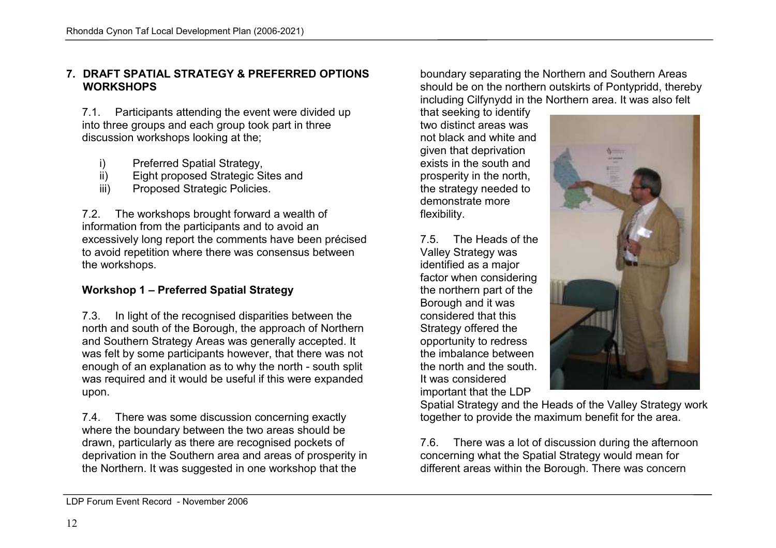### 7. DRAFT SPATIAL STRATEGY & PREFERRED OPTIONS **WORKSHOPS**

7.1. Participants attending the event were divided up into three groups and each group took part in threediscussion workshops looking at the;

- i) Preferred Spatial Strategy,
- ii) Eight proposed Strategic Sites and
- iii) Proposed Strategic Policies.

7.2. The workshops brought forward a wealth of information from the participants and to avoid an excessively long report the comments have been précised to avoid repetition where there was consensus between the workshops.

# Workshop 1 – Preferred Spatial Strategy

7.3. In light of the recognised disparities between the north and south of the Borough, the approach of Northern and Southern Strategy Areas was generally accepted. It was felt by some participants however, that there was not enough of an explanation as to why the north - south split was required and it would be useful if this were expanded upon.

7.4. There was some discussion concerning exactly where the boundary between the two areas should be drawn, particularly as there are recognised pockets of deprivation in the Southern area and areas of prosperity in the Northern. It was suggested in one workshop that the

boundary separating the Northern and Southern Areas should be on the northern outskirts of Pontypridd, thereby including Cilfynydd in the Northern area. It was also felt

that seeking to identify two distinct areas was not black and white and given that deprivation exists in the south and prosperity in the north, the strategy needed to demonstrate more flexibility.

7.5. The Heads of the Valley Strategy was identified as a major factor when considering the northern part of the Borough and it was considered that this Strategy offered the opportunity to redress the imbalance between the north and the south. It was considered important that the LDP



 Spatial Strategy and the Heads of the Valley Strategy work together to provide the maximum benefit for the area.

7.6. There was a lot of discussion during the afternoon concerning what the Spatial Strategy would mean fordifferent areas within the Borough. There was concern

LDP Forum Event Record - November 2006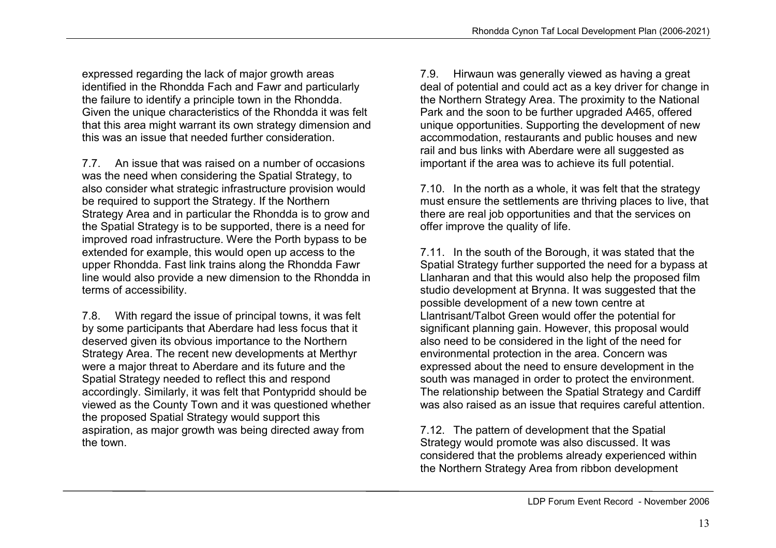expressed regarding the lack of major growth areas identified in the Rhondda Fach and Fawr and particularly the failure to identify a principle town in the Rhondda. Given the unique characteristics of the Rhondda it was felt that this area might warrant its own strategy dimension and this was an issue that needed further consideration.<br>7.7. An issue that was raised on a number of occasions

was the need when considering the Spatial Strategy, to also consider what strategic infrastructure provision would be required to support the Strategy. If the Northern Strategy Area and in particular the Rhondda is to grow and the Spatial Strategy is to be supported, there is a need for improved road infrastructure. Were the Porth bypass to be extended for example, this would open up access to the upper Rhondda. Fast link trains along the Rhondda Fawr line would also provide a new dimension to the Rhondda in terms of accessibility.

7.8. With regard the issue of principal towns, it was felt by some participants that Aberdare had less focus that it deserved given its obvious importance to the Northern Strategy Area. The recent new developments at Merthyr were a major threat to Aberdare and its future and the Spatial Strategy needed to reflect this and respond accordingly. Similarly, it was felt that Pontypridd should be viewed as the County Town and it was questioned whether the proposed Spatial Strategy would support this aspiration, as major growth was being directed away from the town.

7.9. Hirwaun was generally viewed as having a great deal of potential and could act as a key driver for change in the Northern Strategy Area. The proximity to the National Park and the soon to be further upgraded A465, offered unique opportunities. Supporting the development of new accommodation, restaurants and public houses and new rail and bus links with Aberdare were all suggested as important if the area was to achieve its full potential.

7.10. In the north as a whole, it was felt that the strategy must ensure the settlements are thriving places to live, that there are real job opportunities and that the services on offer improve the quality of life.

7.11. In the south of the Borough, it was stated that the Spatial Strategy further supported the need for a bypass at Llanharan and that this would also help the proposed film studio development at Brynna. It was suggested that the possible development of a new town centre at Llantrisant/Talbot Green would offer the potential for significant planning gain. However, this proposal would also need to be considered in the light of the need for environmental protection in the area. Concern was expressed about the need to ensure development in the south was managed in order to protect the environment. The relationship between the Spatial Strategy and Cardiff was also raised as an issue that requires careful attention.

7.12. The pattern of development that the Spatial Strategy would promote was also discussed. It was considered that the problems already experienced within the Northern Strategy Area from ribbon development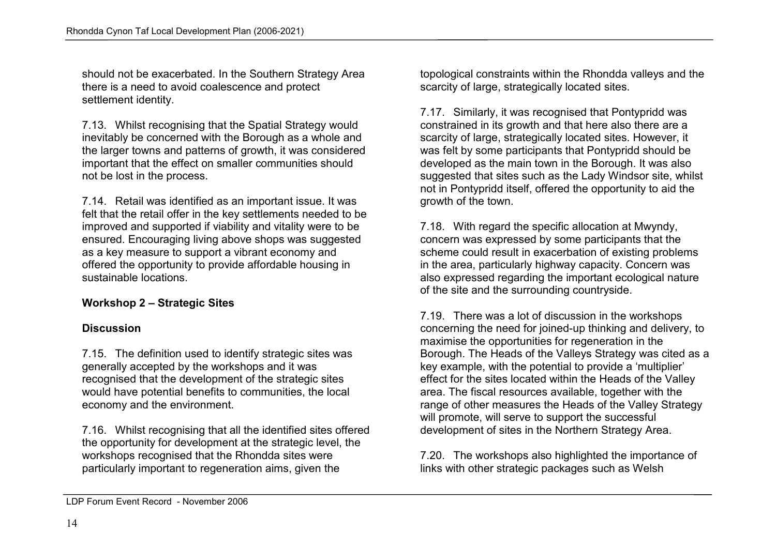should not be exacerbated. In the Southern Strategy Area there is a need to avoid coalescence and protect settlement identity.

7.13. Whilst recognising that the Spatial Strategy would inevitably be concerned with the Borough as a whole and the larger towns and patterns of growth, it was considered important that the effect on smaller communities should not be lost in the process.

7.14. Retail was identified as an important issue. It was felt that the retail offer in the key settlements needed to be improved and supported if viability and vitality were to be ensured. Encouraging living above shops was suggested as a key measure to support a vibrant economy and offered the opportunity to provide affordable housing in sustainable locations.

# Workshop 2 – Strategic Sites

## **Discussion**

7.15. The definition used to identify strategic sites was generally accepted by the workshops and it was recognised that the development of the strategic sites would have potential benefits to communities, the local economy and the environment.

7.16. Whilst recognising that all the identified sites offered the opportunity for development at the strategic level, the workshops recognised that the Rhondda sites were particularly important to regeneration aims, given the

topological constraints within the Rhondda valleys and the scarcity of large, strategically located sites.

7.17. Similarly, it was recognised that Pontypridd was constrained in its growth and that here also there are a scarcity of large, strategically located sites. However, it was felt by some participants that Pontypridd should be developed as the main town in the Borough. It was also suggested that sites such as the Lady Windsor site, whilst not in Pontypridd itself, offered the opportunity to aid the growth of the town.

7.18. With regard the specific allocation at Mwyndy, concern was expressed by some participants that the scheme could result in exacerbation of existing problems in the area, particularly highway capacity. Concern was also expressed regarding the important ecological nature of the site and the surrounding countryside.

7.19. There was a lot of discussion in the workshops concerning the need for joined-up thinking and delivery, to maximise the opportunities for regeneration in the Borough. The Heads of the Valleys Strategy was cited as a key example, with the potential to provide a 'multiplier' effect for the sites located within the Heads of the Valley area. The fiscal resources available, together with the range of other measures the Heads of the Valley Strategy will promote, will serve to support the successful development of sites in the Northern Strategy Area.

7.20. The workshops also highlighted the importance of links with other strategic packages such as Welsh

LDP Forum Event Record - November 2006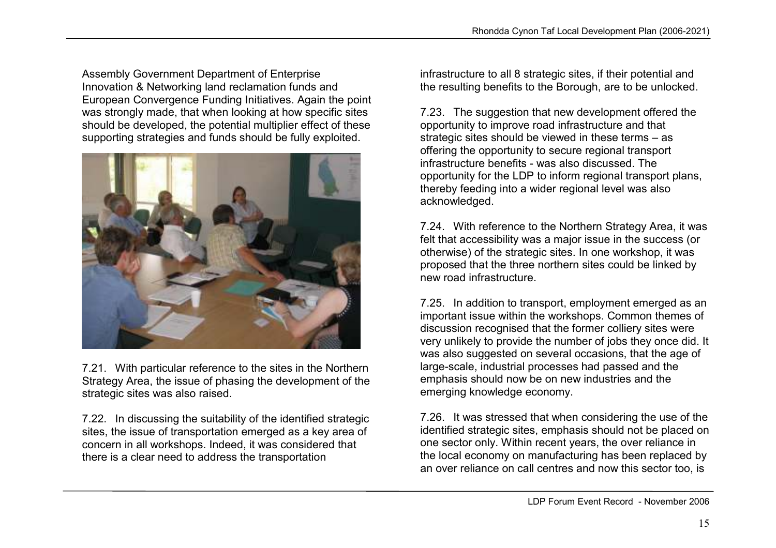Assembly Government Department of Enterprise Innovation & Networking land reclamation funds and European Convergence Funding Initiatives. Again the point was strongly made, that when looking at how specific sites should be developed, the potential multiplier effect of these supporting strategies and funds should be fully exploited.



7.21. With particular reference to the sites in the Northern Strategy Area, the issue of phasing the development of the strategic sites was also raised.

7.22. In discussing the suitability of the identified strategic sites, the issue of transportation emerged as a key area of concern in all workshops. Indeed, it was considered that there is a clear need to address the transportation

infrastructure to all 8 strategic sites, if their potential and the resulting benefits to the Borough, are to be unlocked.

7.23. The suggestion that new development offered the opportunity to improve road infrastructure and that strategic sites should be viewed in these terms – as offering the opportunity to secure regional transport infrastructure benefits - was also discussed. The opportunity for the LDP to inform regional transport plans, thereby feeding into a wider regional level was also acknowledged.

7.24. With reference to the Northern Strategy Area, it was felt that accessibility was a major issue in the success (or otherwise) of the strategic sites. In one workshop, it was proposed that the three northern sites could be linked by new road infrastructure.

7.25. In addition to transport, employment emerged as an important issue within the workshops. Common themes of discussion recognised that the former colliery sites were very unlikely to provide the number of jobs they once did. It was also suggested on several occasions, that the age of large-scale, industrial processes had passed and the emphasis should now be on new industries and the emerging knowledge economy.

7.26. It was stressed that when considering the use of the identified strategic sites, emphasis should not be placed on one sector only. Within recent years, the over reliance in the local economy on manufacturing has been replaced by an over reliance on call centres and now this sector too, is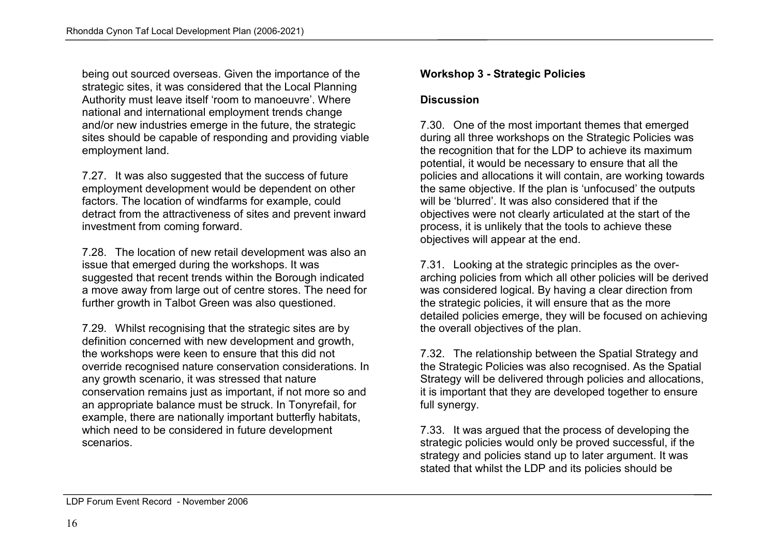being out sourced overseas. Given the importance of the strategic sites, it was considered that the Local Planning Authority must leave itself 'room to manoeuvre'. Where national and international employment trends change and/or new industries emerge in the future, the strategic sites should be capable of responding and providing viable employment land.

7.27. It was also suggested that the success of future employment development would be dependent on other factors. The location of windfarms for example, could detract from the attractiveness of sites and prevent inward investment from coming forward.

7.28. The location of new retail development was also an issue that emerged during the workshops. It was suggested that recent trends within the Borough indicated a move away from large out of centre stores. The need for further growth in Talbot Green was also questioned.

7.29. Whilst recognising that the strategic sites are by definition concerned with new development and growth, the workshops were keen to ensure that this did not override recognised nature conservation considerations. In any growth scenario, it was stressed that nature conservation remains just as important, if not more so and an appropriate balance must be struck. In Tonyrefail, for example, there are nationally important butterfly habitats, which need to be considered in future development scenarios.

# Workshop 3 - Strategic Policies

#### **Discussion**

7.30. One of the most important themes that emerged during all three workshops on the Strategic Policies was the recognition that for the LDP to achieve its maximum potential, it would be necessary to ensure that all the policies and allocations it will contain, are working towards the same objective. If the plan is 'unfocused' the outputs will be 'blurred'. It was also considered that if the objectives were not clearly articulated at the start of the process, it is unlikely that the tools to achieve these objectives will appear at the end.

7.31. Looking at the strategic principles as the overarching policies from which all other policies will be derived was considered logical. By having a clear direction from the strategic policies, it will ensure that as the more detailed policies emerge, they will be focused on achieving the overall objectives of the plan.

7.32. The relationship between the Spatial Strategy and the Strategic Policies was also recognised. As the Spatial Strategy will be delivered through policies and allocations, it is important that they are developed together to ensure full synergy.

7.33. It was argued that the process of developing the strategic policies would only be proved successful, if the strategy and policies stand up to later argument. It was stated that whilst the LDP and its policies should be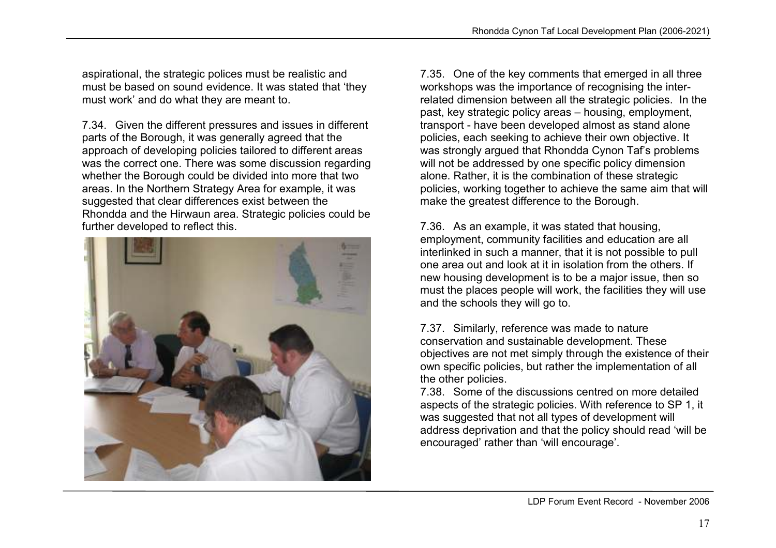aspirational, the strategic polices must be realistic and must be based on sound evidence. It was stated that 'they must work' and do what they are meant to.

7.34. Given the different pressures and issues in different parts of the Borough, it was generally agreed that the approach of developing policies tailored to different areas was the correct one. There was some discussion regarding whether the Borough could be divided into more that two areas. In the Northern Strategy Area for example, it was suggested that clear differences exist between the Rhondda and the Hirwaun area. Strategic policies could be further developed to reflect this.



7.35. One of the key comments that emerged in all three workshops was the importance of recognising the interrelated dimension between all the strategic policies. In the past, key strategic policy areas – housing, employment, transport - have been developed almost as stand alone policies, each seeking to achieve their own objective. It was strongly argued that Rhondda Cynon Taf's problems will not be addressed by one specific policy dimension alone. Rather, it is the combination of these strategic policies, working together to achieve the same aim that will make the greatest difference to the Borough.

7.36. As an example, it was stated that housing, employment, community facilities and education are all interlinked in such a manner, that it is not possible to pull one area out and look at it in isolation from the others. If new housing development is to be a major issue, then so must the places people will work, the facilities they will use and the schools they will go to.

7.37. Similarly, reference was made to nature conservation and sustainable development. These objectives are not met simply through the existence of their own specific policies, but rather the implementation of all the other policies.

 7.38. Some of the discussions centred on more detailed aspects of the strategic policies. With reference to SP 1, it was suggested that not all types of development will address deprivation and that the policy should read 'will be encouraged' rather than 'will encourage'.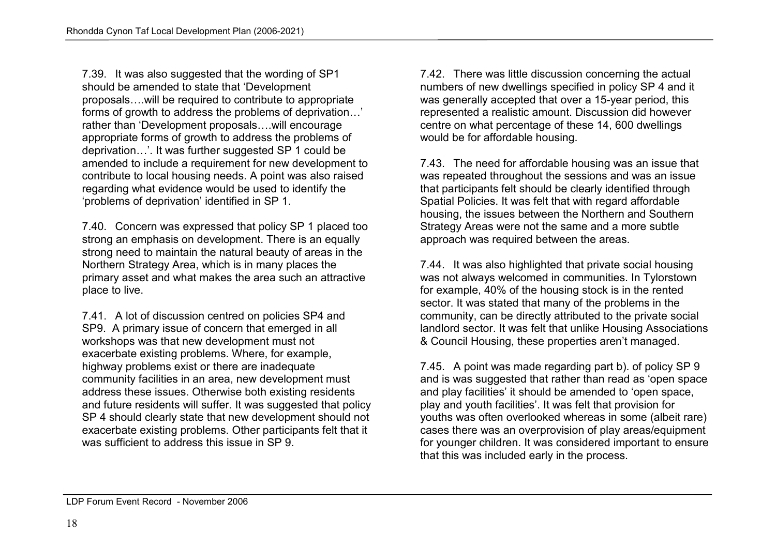7.39. It was also suggested that the wording of SP1should be amended to state that 'Development proposals….will be required to contribute to appropriate forms of growth to address the problems of deprivation…' rather than 'Development proposals….will encourage appropriate forms of growth to address the problems of deprivation…'. It was further suggested SP 1 could be amended to include a requirement for new development to contribute to local housing needs. A point was also raised regarding what evidence would be used to identify the 'problems of deprivation' identified in SP 1.

7.40. Concern was expressed that policy SP 1 placed too strong an emphasis on development. There is an equally strong need to maintain the natural beauty of areas in the Northern Strategy Area, which is in many places the primary asset and what makes the area such an attractive place to live.

7.41. A lot of discussion centred on policies SP4 and SP9. A primary issue of concern that emerged in all workshops was that new development must not exacerbate existing problems. Where, for example, highway problems exist or there are inadequate community facilities in an area, new development must address these issues. Otherwise both existing residents and future residents will suffer. It was suggested that policy SP 4 should clearly state that new development should not exacerbate existing problems. Other participants felt that it was sufficient to address this issue in SP 9.

7.42. There was little discussion concerning the actual numbers of new dwellings specified in policy SP 4 and it was generally accepted that over a 15-year period, this represented a realistic amount. Discussion did however centre on what percentage of these 14, 600 dwellings would be for affordable housing.

7.43. The need for affordable housing was an issue that was repeated throughout the sessions and was an issue that participants felt should be clearly identified through Spatial Policies. It was felt that with regard affordable housing, the issues between the Northern and Southern Strategy Areas were not the same and a more subtle approach was required between the areas.

7.44. It was also highlighted that private social housing was not always welcomed in communities. In Tylorstown for example, 40% of the housing stock is in the rented sector. It was stated that many of the problems in the community, can be directly attributed to the private social landlord sector. It was felt that unlike Housing Associations & Council Housing, these properties aren't managed.

7.45. A point was made regarding part b). of policy SP 9 and is was suggested that rather than read as 'open space and play facilities' it should be amended to 'open space, play and youth facilities'. It was felt that provision for youths was often overlooked whereas in some (albeit rare) cases there was an overprovision of play areas/equipment for younger children. It was considered important to ensure that this was included early in the process.

LDP Forum Event Record - November 2006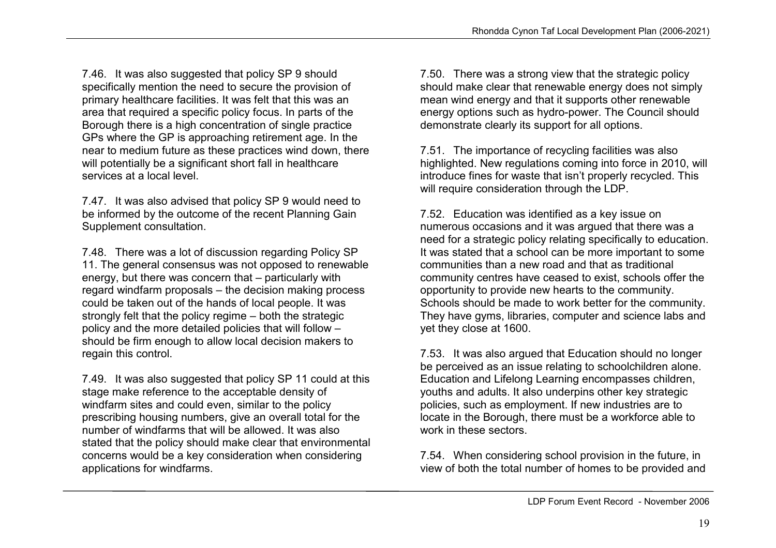7.46. It was also suggested that policy SP 9 should specifically mention the need to secure the provision of primary healthcare facilities. It was felt that this was an area that required a specific policy focus. In parts of the Borough there is a high concentration of single practice GPs where the GP is approaching retirement age. In the near to medium future as these practices wind down, there will potentially be a significant short fall in healthcare services at a local level.

7.47. It was also advised that policy SP 9 would need to be informed by the outcome of the recent Planning Gain Supplement consultation.

7.48. There was a lot of discussion regarding Policy SP 11. The general consensus was not opposed to renewable energy, but there was concern that – particularly with regard windfarm proposals – the decision making process could be taken out of the hands of local people. It was strongly felt that the policy regime – both the strategic policy and the more detailed policies that will follow – should be firm enough to allow local decision makers to regain this control.

7.49. It was also suggested that policy SP 11 could at this stage make reference to the acceptable density of windfarm sites and could even, similar to the policy prescribing housing numbers, give an overall total for the number of windfarms that will be allowed. It was also stated that the policy should make clear that environmental concerns would be a key consideration when considering applications for windfarms.

7.50. There was a strong view that the strategic policy should make clear that renewable energy does not simply mean wind energy and that it supports other renewable energy options such as hydro-power. The Council should demonstrate clearly its support for all options.

7.51. The importance of recycling facilities was also highlighted. New regulations coming into force in 2010, will introduce fines for waste that isn't properly recycled. This will require consideration through the LDP.

7.52. Education was identified as a key issue on numerous occasions and it was argued that there was a need for a strategic policy relating specifically to education. It was stated that a school can be more important to some communities than a new road and that as traditional community centres have ceased to exist, schools offer the opportunity to provide new hearts to the community. Schools should be made to work better for the community. They have gyms, libraries, computer and science labs and yet they close at 1600.

7.53. It was also argued that Education should no longer be perceived as an issue relating to schoolchildren alone. Education and Lifelong Learning encompasses children, youths and adults. It also underpins other key strategic policies, such as employment. If new industries are to locate in the Borough, there must be a workforce able to work in these sectors.

7.54. When considering school provision in the future, in view of both the total number of homes to be provided and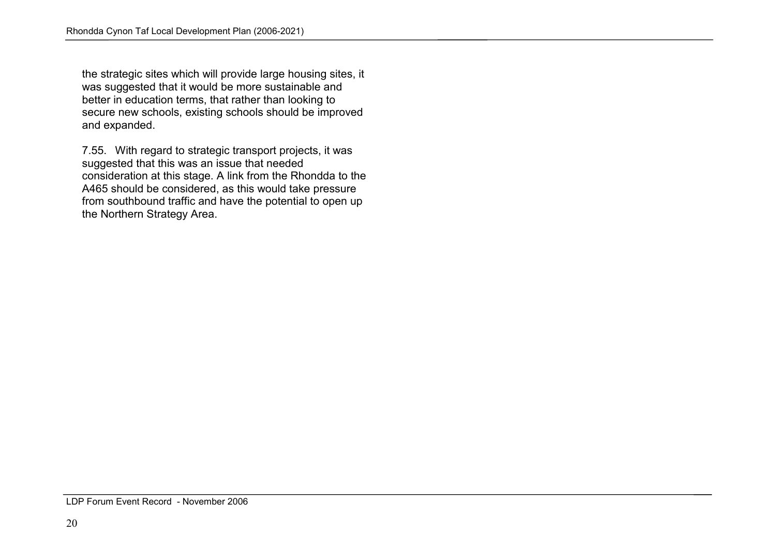the strategic sites which will provide large housing sites, it was suggested that it would be more sustainable and better in education terms, that rather than looking to secure new schools, existing schools should be improved and expanded.

7.55. With regard to strategic transport projects, it was suggested that this was an issue that needed consideration at this stage. A link from the Rhondda to the A465 should be considered, as this would take pressure from southbound traffic and have the potential to open up the Northern Strategy Area.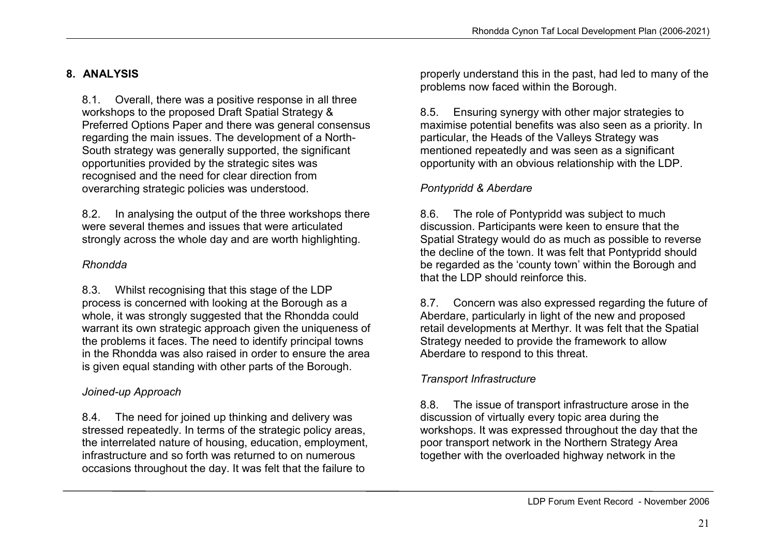# 8. ANALYSIS

8.1. Overall, there was a positive response in all three workshops to the proposed Draft Spatial Strategy & Preferred Options Paper and there was general consensus regarding the main issues. The development of a North-South strategy was generally supported, the significant opportunities provided by the strategic sites was recognised and the need for clear direction from overarching strategic policies was understood.

8.2. In analysing the output of the three workshops there were several themes and issues that were articulated strongly across the whole day and are worth highlighting.

# Rhondda

8.3. Whilst recognising that this stage of the LDP process is concerned with looking at the Borough as a whole, it was strongly suggested that the Rhondda could warrant its own strategic approach given the uniqueness of the problems it faces. The need to identify principal towns in the Rhondda was also raised in order to ensure the area is given equal standing with other parts of the Borough.

# Joined-up Approach

8.4. The need for joined up thinking and delivery was stressed repeatedly. In terms of the strategic policy areas, the interrelated nature of housing, education, employment, infrastructure and so forth was returned to on numerous occasions throughout the day. It was felt that the failure to

properly understand this in the past, had led to many of the problems now faced within the Borough.

8.5. Ensuring synergy with other major strategies to maximise potential benefits was also seen as a priority. In particular, the Heads of the Valleys Strategy was mentioned repeatedly and was seen as a significant opportunity with an obvious relationship with the LDP.

# Pontypridd & Aberdare

8.6. The role of Pontypridd was subject to much discussion. Participants were keen to ensure that the Spatial Strategy would do as much as possible to reverse the decline of the town. It was felt that Pontypridd should be regarded as the 'county town' within the Borough and that the LDP should reinforce this.

8.7. Concern was also expressed regarding the future of Aberdare, particularly in light of the new and proposed retail developments at Merthyr. It was felt that the Spatial Strategy needed to provide the framework to allow Aberdare to respond to this threat.

# Transport Infrastructure

8.8. The issue of transport infrastructure arose in the discussion of virtually every topic area during the workshops. It was expressed throughout the day that the poor transport network in the Northern Strategy Area together with the overloaded highway network in the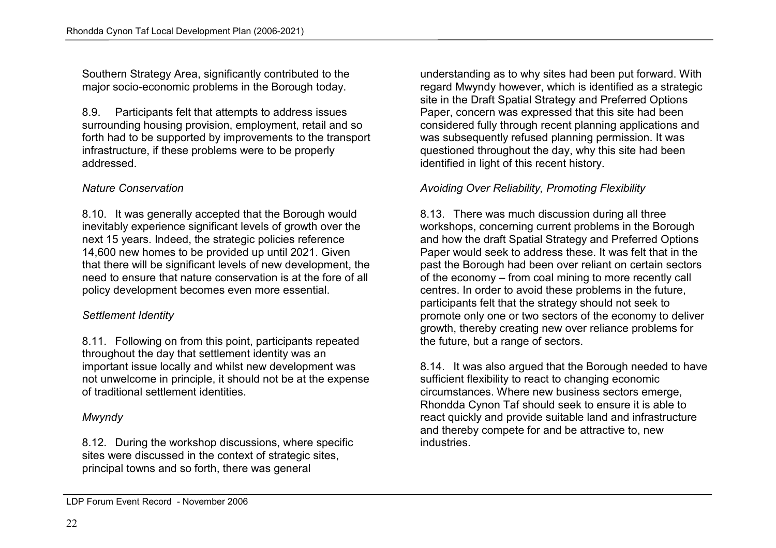Southern Strategy Area, significantly contributed to the major socio-economic problems in the Borough today.

8.9. Participants felt that attempts to address issues surrounding housing provision, employment, retail and so forth had to be supported by improvements to the transport infrastructure, if these problems were to be properly addressed.

## Nature Conservation

8.10. It was generally accepted that the Borough would inevitably experience significant levels of growth over the next 15 years. Indeed, the strategic policies reference 14,600 new homes to be provided up until 2021. Given that there will be significant levels of new development, the need to ensure that nature conservation is at the fore of all policy development becomes even more essential.

# Settlement Identity

8.11. Following on from this point, participants repeated throughout the day that settlement identity was an important issue locally and whilst new development was not unwelcome in principle, it should not be at the expense of traditional settlement identities.

# Mwyndy

8.12. During the workshop discussions, where specific sites were discussed in the context of strategic sites, principal towns and so forth, there was general

understanding as to why sites had been put forward. With regard Mwyndy however, which is identified as a strategic site in the Draft Spatial Strategy and Preferred Options Paper, concern was expressed that this site had been considered fully through recent planning applications and was subsequently refused planning permission. It was questioned throughout the day, why this site had been identified in light of this recent history.

# Avoiding Over Reliability, Promoting Flexibility

8.13. There was much discussion during all three workshops, concerning current problems in the Borough and how the draft Spatial Strategy and Preferred Options Paper would seek to address these. It was felt that in the past the Borough had been over reliant on certain sectors of the economy – from coal mining to more recently call centres. In order to avoid these problems in the future, participants felt that the strategy should not seek to promote only one or two sectors of the economy to deliver growth, thereby creating new over reliance problems for the future, but a range of sectors.

8.14. It was also argued that the Borough needed to have sufficient flexibility to react to changing economic circumstances. Where new business sectors emerge, Rhondda Cynon Taf should seek to ensure it is able to react quickly and provide suitable land and infrastructure and thereby compete for and be attractive to, new industries.

LDP Forum Event Record - November 2006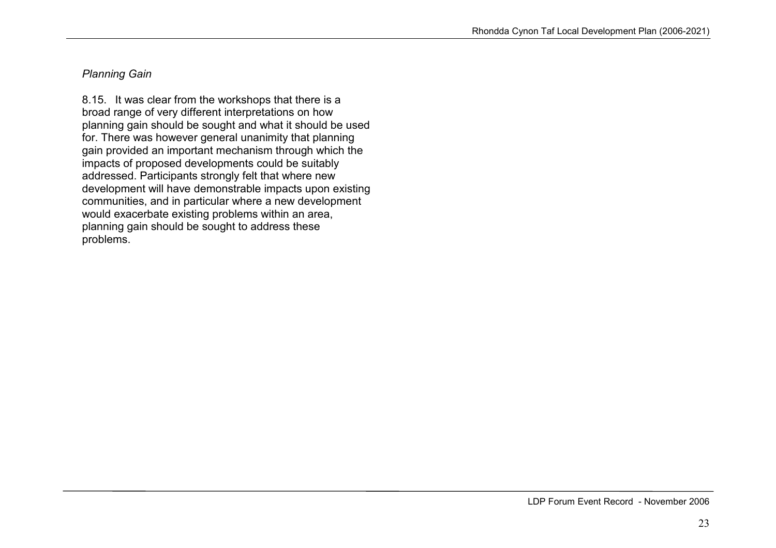# Planning Gain

8.15. It was clear from the workshops that there is a broad range of very different interpretations on how planning gain should be sought and what it should be used for. There was however general unanimity that planning gain provided an important mechanism through which the impacts of proposed developments could be suitably addressed. Participants strongly felt that where new development will have demonstrable impacts upon existing communities, and in particular where a new development would exacerbate existing problems within an area, planning gain should be sought to address these problems.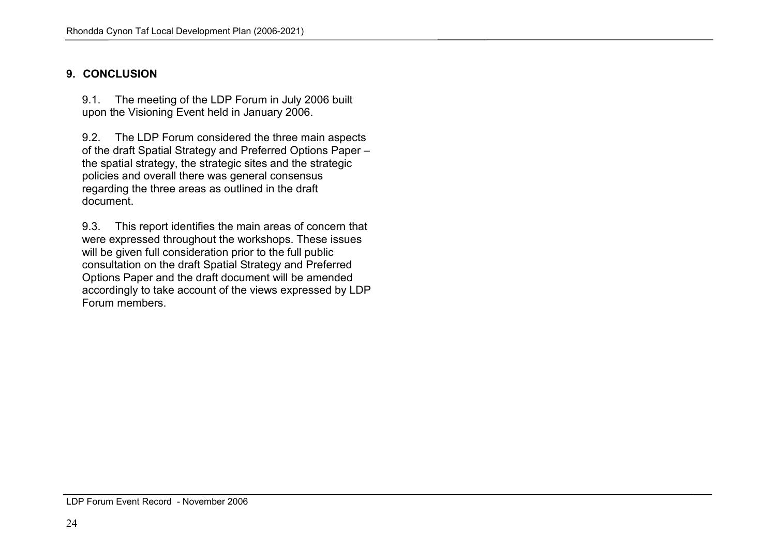# 9. CONCLUSION

9.1. The meeting of the LDP Forum in July 2006 built upon the Visioning Event held in January 2006.

9.2. The LDP Forum considered the three main aspects of the draft Spatial Strategy and Preferred Options Paper – the spatial strategy, the strategic sites and the strategic policies and overall there was general consensus regarding the three areas as outlined in the draft document.

9.3. This report identifies the main areas of concern that were expressed throughout the workshops. These issues will be given full consideration prior to the full public consultation on the draft Spatial Strategy and Preferred Options Paper and the draft document will be amended accordingly to take account of the views expressed by LDP Forum members.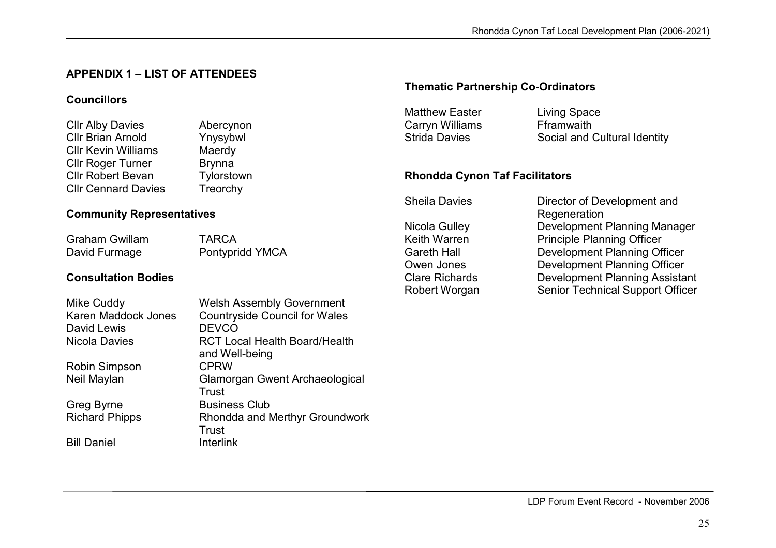# APPENDIX 1 – LIST OF ATTENDEES

# **Councillors**

| <b>Cllr Alby Davies</b>    | Abercynon     |
|----------------------------|---------------|
| <b>Cllr Brian Arnold</b>   | Ynysybwl      |
| <b>CIIr Kevin Williams</b> | Maerdy        |
| <b>Cllr Roger Turner</b>   | <b>Brynna</b> |
| <b>Cllr Robert Bevan</b>   | Tylorstown    |
| <b>Cllr Cennard Davies</b> | Treorchy      |

# Community Representatives

Graham Gwillam TARCA David Furmage **Pontypridd YMCA** 

# Consultation Bodies

| Mike Cuddy          |
|---------------------|
| Karen Maddock Jones |
| David Lewis         |
| Nicola Davies       |
|                     |

Robin Simpson CPRW

**Bill Daniel** 

Welsh Assembly Government Karen Maddock Jones Countryside Council for Wales DEVCO. Nicola Davies **RCT Local Health Board/Health** and Well-being Neil Maylan Glamorgan Gwent Archaeological Trust Greg Byrne **Business Club** Richard Phipps **Rhondda and Merthyr Groundwork** Trust Interlink

#### Thematic Partnership Co-Ordinators

Carryn Williams<br>
Strida Davies
Social and (Social and (Social and )

Matthew Easter **Living Space** Strida Davies **Social and Cultural Identity** 

#### Rhondda Cynon Taf Facilitators

| <b>Sheila Davies</b>  | Director of Development and         |
|-----------------------|-------------------------------------|
|                       | Regeneration                        |
| Nicola Gulley         | Development Planning Manage         |
| Keith Warren          | <b>Principle Planning Officer</b>   |
| <b>Gareth Hall</b>    | Development Planning Officer        |
| Owen Jones            | Development Planning Officer        |
| <b>Clare Richards</b> | <b>Development Planning Assista</b> |
| Robert Worgan         | Senior Technical Support Offic      |
|                       |                                     |

neration Nicola Gulley Development Planning Manager Clare Richards Development Planning Assistant Robert Worgan Senior Technical Support Officer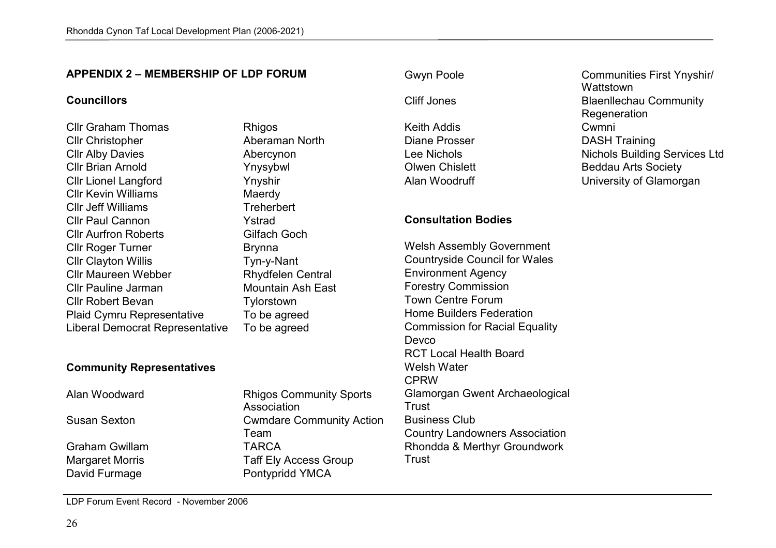#### APPENDIX 2 – MEMBERSHIP OF LDP FORUM

#### **Councillors**

Cllr Graham Thomas Rhigos Cllr Christopher **Aberaman North** Cllr Alby Davies **Abercynon** Cllr Brian Arnold Ynysybwl Cllr Lionel Langford Ynyshir Cllr Kevin Williams Maerdy Cllr Jeff Williams Treherbert Cllr Paul Cannon Ystrad Cllr Aurfron Roberts Cllr Roger Turner Brynna Cllr Clayton Willis Cllr Maureen Webber **Rhydfelen Central** Cllr Pauline Jarman Mountain Ash East Cllr Robert Bevan Tylorstown Plaid Cymru Representative Liberal Democrat Representative

#### Community Representatives

Graham Gwillam

Gilfach Goch Tyn-y-Nant To be agreed To be agreed

Alan Woodward Rhigos Community Sports Association Susan Sexton Cwmdare Community Action Team **TARCA** Margaret Morris **Margaret Morris Taff Ely Access Group** David Furmage **Pontypridd YMCA** 

Keith Addis Cwmni Diane Prosser **DASH Training** 

#### Consultation Bodies

Welsh Assembly Government Countryside Council for Wales Environment Agency Forestry Commission Town Centre Forum Home Builders Federation Commission for Racial Equality Devco RCT Local Health Board Welsh Water CPRW Glamorgan Gwent Archaeological Trust Business Club Country Landowners Association Rhondda & Merthyr Groundwork Trust

# Gwyn Poole **Communities First Ynyshir/ Wattstown** Cliff Jones **Blaenllechau Community Regeneration** Lee Nichols **Nichols** Nichols Building Services Ltd Olwen Chislett Beddau Arts Society Alan Woodruff **National Communist Contract University of Glamorgan**

LDP Forum Event Record - November 2006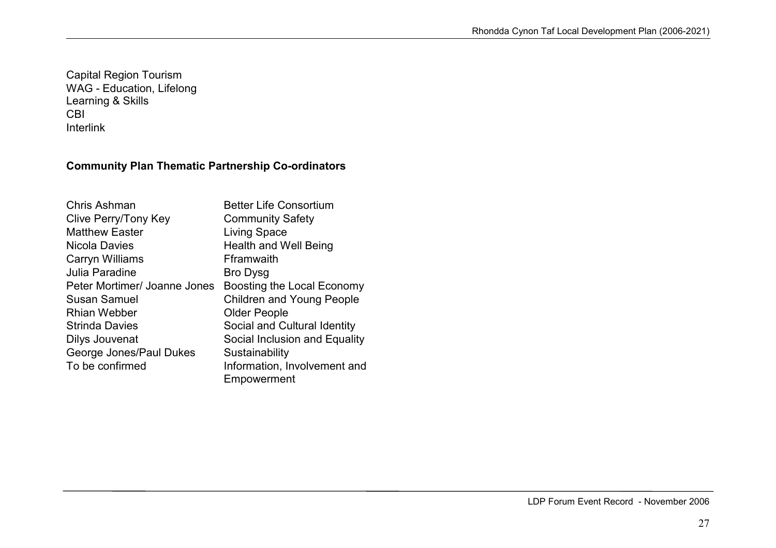Capital Region Tourism WAG - Education, Lifelong Learning & Skills CBI Interlink

# Community Plan Thematic Partnership Co-ordinators

| Chris Ashman                 | <b>Better Life Consortium</b>    |
|------------------------------|----------------------------------|
| Clive Perry/Tony Key         | <b>Community Safety</b>          |
| <b>Matthew Easter</b>        | Living Space                     |
| Nicola Davies                | <b>Health and Well Being</b>     |
| Carryn Williams              | Fframwaith                       |
| Julia Paradine               | <b>Bro Dysg</b>                  |
| Peter Mortimer/ Joanne Jones | Boosting the Local Economy       |
| Susan Samuel                 | <b>Children and Young People</b> |
| <b>Rhian Webber</b>          | <b>Older People</b>              |
| <b>Strinda Davies</b>        | Social and Cultural Identity     |
| Dilys Jouvenat               | Social Inclusion and Equality    |
| George Jones/Paul Dukes      | Sustainability                   |
| To be confirmed              | Information, Involvement and     |
|                              | Empowerment                      |